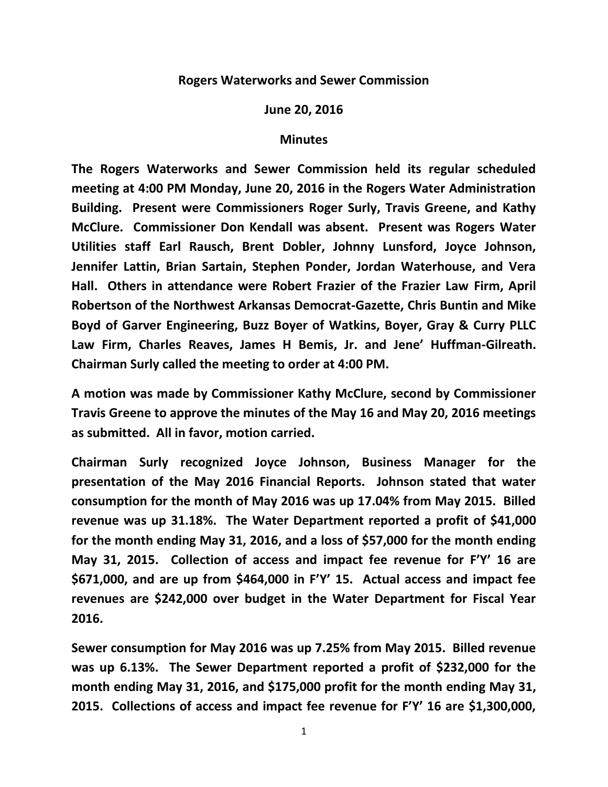## **Rogers Waterworks and Sewer Commission**

**June 20, 2016**

## **Minutes**

**The Rogers Waterworks and Sewer Commission held its regular scheduled meeting at 4:00 PM Monday, June 20, 2016 in the Rogers Water Administration Building. Present were Commissioners Roger Surly, Travis Greene, and Kathy McClure. Commissioner Don Kendall was absent. Present was Rogers Water Utilities staff Earl Rausch, Brent Dobler, Johnny Lunsford, Joyce Johnson, Jennifer Lattin, Brian Sartain, Stephen Ponder, Jordan Waterhouse, and Vera Hall. Others in attendance were Robert Frazier of the Frazier Law Firm, April Robertson of the Northwest Arkansas Democrat-Gazette, Chris Buntin and Mike Boyd of Garver Engineering, Buzz Boyer of Watkins, Boyer, Gray & Curry PLLC Law Firm, Charles Reaves, James H Bemis, Jr. and Jene' Huffman-Gilreath. Chairman Surly called the meeting to order at 4:00 PM.**

**A motion was made by Commissioner Kathy McClure, second by Commissioner Travis Greene to approve the minutes of the May 16 and May 20, 2016 meetings as submitted. All in favor, motion carried.**

**Chairman Surly recognized Joyce Johnson, Business Manager for the presentation of the May 2016 Financial Reports. Johnson stated that water consumption for the month of May 2016 was up 17.04% from May 2015. Billed revenue was up 31.18%. The Water Department reported a profit of \$41,000 for the month ending May 31, 2016, and a loss of \$57,000 for the month ending May 31, 2015. Collection of access and impact fee revenue for F'Y' 16 are \$671,000, and are up from \$464,000 in F'Y' 15. Actual access and impact fee revenues are \$242,000 over budget in the Water Department for Fiscal Year 2016.**

**Sewer consumption for May 2016 was up 7.25% from May 2015. Billed revenue was up 6.13%. The Sewer Department reported a profit of \$232,000 for the month ending May 31, 2016, and \$175,000 profit for the month ending May 31, 2015. Collections of access and impact fee revenue for F'Y' 16 are \$1,300,000,**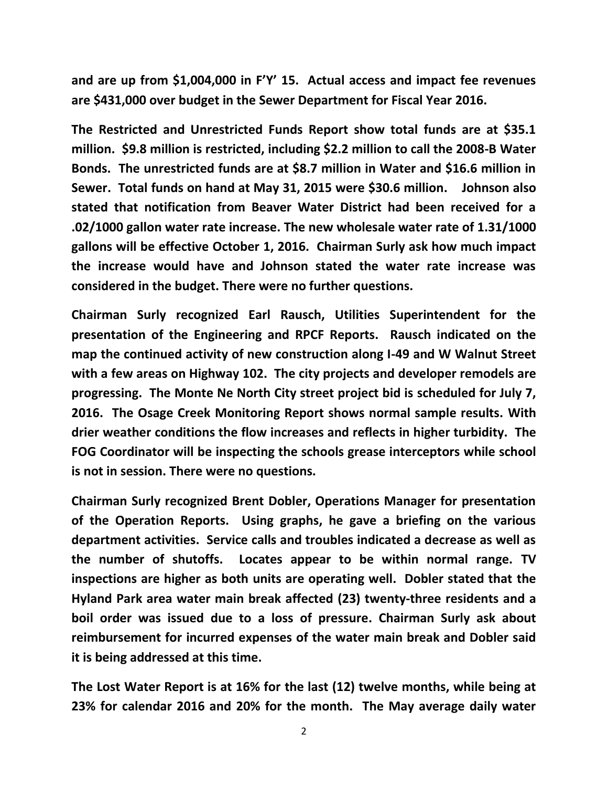**and are up from \$1,004,000 in F'Y' 15. Actual access and impact fee revenues are \$431,000 over budget in the Sewer Department for Fiscal Year 2016.**

**The Restricted and Unrestricted Funds Report show total funds are at \$35.1 million. \$9.8 million is restricted, including \$2.2 million to call the 2008-B Water Bonds. The unrestricted funds are at \$8.7 million in Water and \$16.6 million in Sewer. Total funds on hand at May 31, 2015 were \$30.6 million. Johnson also stated that notification from Beaver Water District had been received for a .02/1000 gallon water rate increase. The new wholesale water rate of 1.31/1000 gallons will be effective October 1, 2016. Chairman Surly ask how much impact the increase would have and Johnson stated the water rate increase was considered in the budget. There were no further questions.**

**Chairman Surly recognized Earl Rausch, Utilities Superintendent for the presentation of the Engineering and RPCF Reports. Rausch indicated on the map the continued activity of new construction along I-49 and W Walnut Street with a few areas on Highway 102. The city projects and developer remodels are progressing. The Monte Ne North City street project bid is scheduled for July 7, 2016. The Osage Creek Monitoring Report shows normal sample results. With drier weather conditions the flow increases and reflects in higher turbidity. The FOG Coordinator will be inspecting the schools grease interceptors while school is not in session. There were no questions.**

**Chairman Surly recognized Brent Dobler, Operations Manager for presentation of the Operation Reports. Using graphs, he gave a briefing on the various department activities. Service calls and troubles indicated a decrease as well as the number of shutoffs. Locates appear to be within normal range. TV inspections are higher as both units are operating well. Dobler stated that the Hyland Park area water main break affected (23) twenty-three residents and a boil order was issued due to a loss of pressure. Chairman Surly ask about reimbursement for incurred expenses of the water main break and Dobler said it is being addressed at this time.**

**The Lost Water Report is at 16% for the last (12) twelve months, while being at 23% for calendar 2016 and 20% for the month. The May average daily water**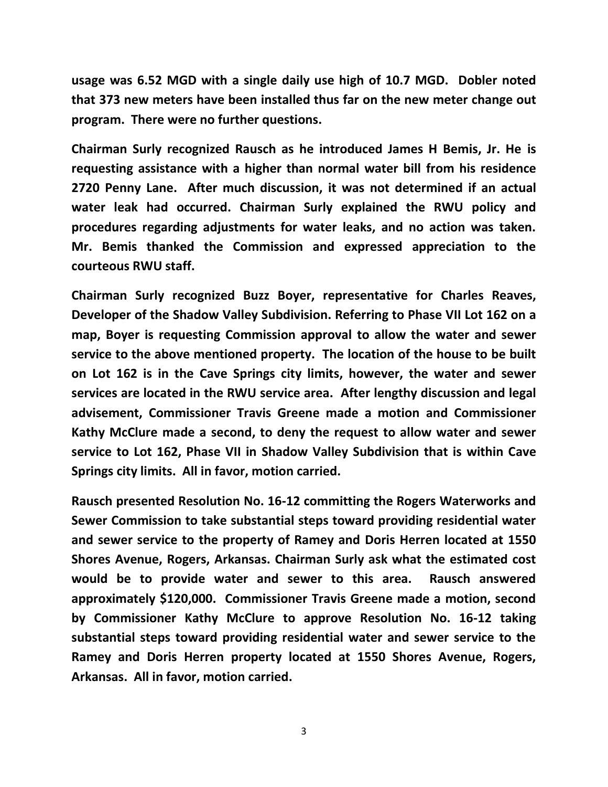**usage was 6.52 MGD with a single daily use high of 10.7 MGD. Dobler noted that 373 new meters have been installed thus far on the new meter change out program. There were no further questions.**

**Chairman Surly recognized Rausch as he introduced James H Bemis, Jr. He is requesting assistance with a higher than normal water bill from his residence 2720 Penny Lane. After much discussion, it was not determined if an actual water leak had occurred. Chairman Surly explained the RWU policy and procedures regarding adjustments for water leaks, and no action was taken. Mr. Bemis thanked the Commission and expressed appreciation to the courteous RWU staff.**

**Chairman Surly recognized Buzz Boyer, representative for Charles Reaves, Developer of the Shadow Valley Subdivision. Referring to Phase VII Lot 162 on a map, Boyer is requesting Commission approval to allow the water and sewer service to the above mentioned property. The location of the house to be built on Lot 162 is in the Cave Springs city limits, however, the water and sewer services are located in the RWU service area. After lengthy discussion and legal advisement, Commissioner Travis Greene made a motion and Commissioner Kathy McClure made a second, to deny the request to allow water and sewer service to Lot 162, Phase VII in Shadow Valley Subdivision that is within Cave Springs city limits. All in favor, motion carried.**

**Rausch presented Resolution No. 16-12 committing the Rogers Waterworks and Sewer Commission to take substantial steps toward providing residential water and sewer service to the property of Ramey and Doris Herren located at 1550 Shores Avenue, Rogers, Arkansas. Chairman Surly ask what the estimated cost would be to provide water and sewer to this area. Rausch answered approximately \$120,000. Commissioner Travis Greene made a motion, second by Commissioner Kathy McClure to approve Resolution No. 16-12 taking substantial steps toward providing residential water and sewer service to the Ramey and Doris Herren property located at 1550 Shores Avenue, Rogers, Arkansas. All in favor, motion carried.**

3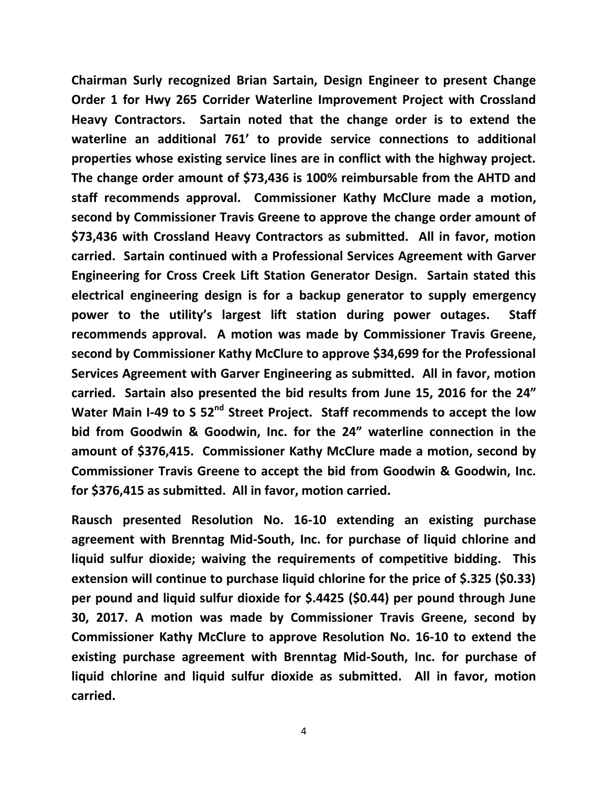**Chairman Surly recognized Brian Sartain, Design Engineer to present Change Order 1 for Hwy 265 Corrider Waterline Improvement Project with Crossland Heavy Contractors. Sartain noted that the change order is to extend the waterline an additional 761' to provide service connections to additional properties whose existing service lines are in conflict with the highway project. The change order amount of \$73,436 is 100% reimbursable from the AHTD and staff recommends approval. Commissioner Kathy McClure made a motion, second by Commissioner Travis Greene to approve the change order amount of \$73,436 with Crossland Heavy Contractors as submitted. All in favor, motion carried. Sartain continued with a Professional Services Agreement with Garver Engineering for Cross Creek Lift Station Generator Design. Sartain stated this electrical engineering design is for a backup generator to supply emergency power to the utility's largest lift station during power outages. Staff recommends approval. A motion was made by Commissioner Travis Greene, second by Commissioner Kathy McClure to approve \$34,699 for the Professional Services Agreement with Garver Engineering as submitted. All in favor, motion carried. Sartain also presented the bid results from June 15, 2016 for the 24" Water Main I-49 to S 52nd Street Project. Staff recommends to accept the low bid from Goodwin & Goodwin, Inc. for the 24" waterline connection in the amount of \$376,415. Commissioner Kathy McClure made a motion, second by Commissioner Travis Greene to accept the bid from Goodwin & Goodwin, Inc. for \$376,415 as submitted. All in favor, motion carried.**

**Rausch presented Resolution No. 16-10 extending an existing purchase agreement with Brenntag Mid-South, Inc. for purchase of liquid chlorine and liquid sulfur dioxide; waiving the requirements of competitive bidding. This extension will continue to purchase liquid chlorine for the price of \$.325 (\$0.33) per pound and liquid sulfur dioxide for \$.4425 (\$0.44) per pound through June 30, 2017. A motion was made by Commissioner Travis Greene, second by Commissioner Kathy McClure to approve Resolution No. 16-10 to extend the existing purchase agreement with Brenntag Mid-South, Inc. for purchase of liquid chlorine and liquid sulfur dioxide as submitted. All in favor, motion carried.**